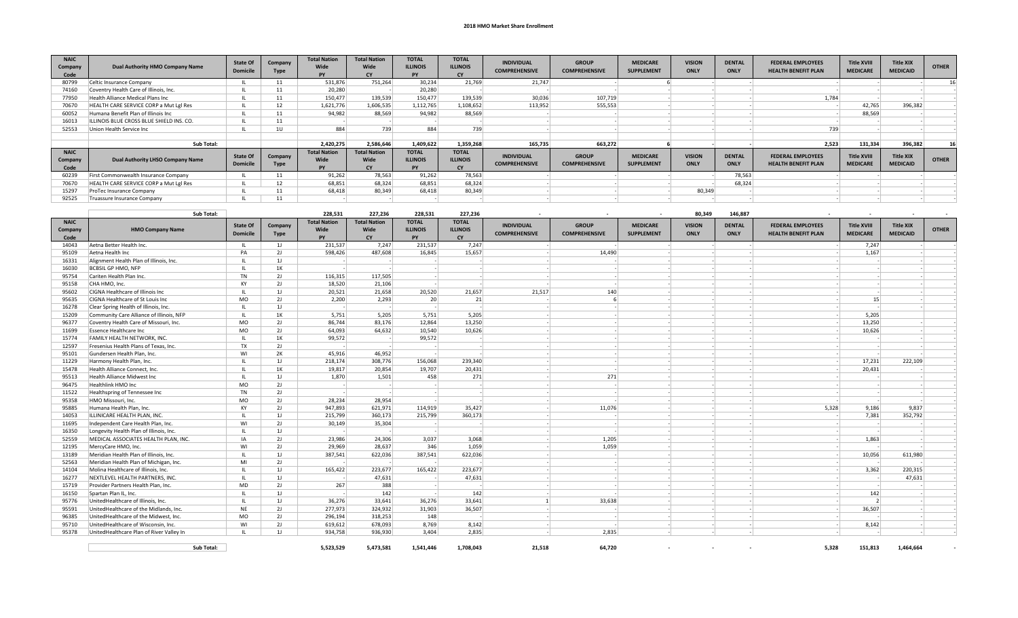## **2018 HMO Market Share Enrollment**

| <b>NAIC</b><br>Company<br>Code | Dual Authority HMO Company Name          | <b>State Of</b><br><b>Domicile</b> | Company<br><b>Type</b> | <b>Total Nation</b><br>Wide<br><b>DV</b> | <b>Total Nation</b><br>Wide<br>CY                     | <b>TOTAL</b><br><b>ILLINOIS</b><br>PY        | <b>TOTAL</b><br><b>ILLINOIS</b>              | <b>INDIVIDUAL</b><br><b>COMPREHENSIVE</b> | <b>GROUP</b><br><b>COMPREHENSIVE</b> | <b>MEDICARE</b><br><b>SUPPLEMENT</b> | <b>VISION</b><br>ONLY | <b>DENTAL</b><br>ONLY        | <b>FEDERAL EMPLOYEES</b><br><b>HEALTH BENEFIT PLAN</b> | <b>Title XVIII</b><br><b>MEDICARE</b> | <b>Title XIX</b><br><b>MEDICAID</b> | <b>OTHER</b> |
|--------------------------------|------------------------------------------|------------------------------------|------------------------|------------------------------------------|-------------------------------------------------------|----------------------------------------------|----------------------------------------------|-------------------------------------------|--------------------------------------|--------------------------------------|-----------------------|------------------------------|--------------------------------------------------------|---------------------------------------|-------------------------------------|--------------|
| 80799                          | Celtic Insurance Company                 |                                    |                        | 531,876                                  | 751,264                                               | 30.234                                       | 21.769                                       | 21,747                                    |                                      |                                      |                       |                              |                                                        |                                       |                                     | 16           |
| 74160                          | Coventry Health Care of Illinois, Inc.   |                                    |                        | 20,280                                   |                                                       | 20,280                                       |                                              |                                           |                                      |                                      |                       |                              |                                                        |                                       |                                     |              |
| 77950                          | Health Alliance Medical Plans Inc        |                                    |                        | 150,477                                  | 139,539                                               | 150,477                                      | 139,539                                      | 30,036                                    | 107,719                              |                                      |                       |                              | 1,784                                                  |                                       |                                     |              |
| 70670                          | HEALTH CARE SERVICE CORP a Mut Lgl Res   |                                    | 12                     | 1,621,776                                | 1,606,535                                             | 1,112,765                                    | 1,108,652                                    | 113,952                                   | 555,553                              |                                      |                       |                              |                                                        | 42,765                                | 396,382                             |              |
| 60052                          | Humana Benefit Plan of Illinois Inc      |                                    |                        | 94,982                                   | 88.569                                                | 94.982                                       | 88,569                                       |                                           |                                      |                                      |                       |                              |                                                        | 88,569                                |                                     |              |
| 16013                          | ILLINOIS BLUE CROSS BLUE SHIELD INS. CO. |                                    | 11.                    |                                          |                                                       |                                              |                                              |                                           |                                      |                                      |                       |                              |                                                        |                                       |                                     |              |
| 52553                          | Union Health Service Inc                 |                                    | 10 <sup>1</sup>        | 884                                      | 739                                                   | 884                                          | 739                                          |                                           |                                      |                                      |                       |                              | 739                                                    |                                       |                                     |              |
|                                |                                          |                                    |                        |                                          |                                                       |                                              |                                              |                                           |                                      |                                      |                       |                              |                                                        |                                       |                                     |              |
|                                | Sub Total:                               |                                    |                        | 2,420,275                                | 2,586,646                                             | 1,409,622                                    | 1,359,268                                    | 165,735                                   | 663,272                              |                                      |                       |                              | 2,523                                                  | 131,334                               | 396,382                             |              |
| <b>NAIC</b><br>Company<br>Code | Dual Authority LHSO Company Name         | <b>State Of</b><br><b>Domicile</b> | Company<br><b>Type</b> | <b>Total Nation</b><br>Wide<br><b>PY</b> | <b>Total Nation</b><br>Wide<br>$\mathsf{C}\mathsf{Y}$ | <b>TOTAL</b><br><b>ILLINOIS</b><br><b>PY</b> | <b>TOTAL</b><br><b>ILLINOIS</b><br><b>CY</b> | <b>INDIVIDUAL</b><br><b>COMPREHENSIVE</b> | <b>GROUP</b><br><b>COMPREHENSIVE</b> | <b>MEDICARE</b><br><b>SUPPLEMENT</b> | <b>VISION</b><br>ONLY | <b>DENTAL</b><br><b>ONLY</b> | <b>FEDERAL EMPLOYEES</b><br><b>HEALTH BENEFIT PLAN</b> | <b>Title XVIII</b><br><b>MEDICARE</b> | <b>Title XIX</b><br><b>MEDICAID</b> | <b>OTHER</b> |
| 60239                          | First Commonwealth Insurance Company     |                                    |                        | 91,262                                   | 78,563                                                | 91,262                                       | 78,563                                       |                                           |                                      |                                      |                       | 78,563                       |                                                        |                                       |                                     |              |
| 70670                          | HEALTH CARE SERVICE CORP a Mut Lgl Res   |                                    | 12                     | 68,851                                   | 68,324                                                | 68,851                                       | 68,324                                       |                                           |                                      |                                      |                       | 68.324                       |                                                        |                                       |                                     |              |
| 15297                          | ProTec Insurance Company                 |                                    | A                      | 68.418                                   | 80,349                                                | 68,418                                       | 80.349                                       |                                           |                                      |                                      | 80,349                |                              |                                                        |                                       |                                     |              |
| 92525                          | Truassure Insurance Company              |                                    |                        |                                          |                                                       |                                              |                                              |                                           |                                      |                                      |                       |                              |                                                        |                                       |                                     |              |

|                                | Sub Total:                               |                                    |                        | 228.531                           | 227,236                                  | 228,531                                      | 227,236                                      |                                           |                                      |                                      | 80,349                       | 146,887                      |                                                        |                                       |                                     |              |
|--------------------------------|------------------------------------------|------------------------------------|------------------------|-----------------------------------|------------------------------------------|----------------------------------------------|----------------------------------------------|-------------------------------------------|--------------------------------------|--------------------------------------|------------------------------|------------------------------|--------------------------------------------------------|---------------------------------------|-------------------------------------|--------------|
| <b>NAIC</b><br>Company<br>Code | <b>HMO Company Name</b>                  | <b>State Of</b><br><b>Domicile</b> | Company<br><b>Type</b> | <b>Total Nation</b><br>Wide<br>PY | <b>Total Nation</b><br>Wide<br><b>CY</b> | <b>TOTAL</b><br><b>ILLINOIS</b><br><b>PY</b> | <b>TOTAL</b><br><b>ILLINOIS</b><br><b>CY</b> | <b>INDIVIDUAL</b><br><b>COMPREHENSIVE</b> | <b>GROUP</b><br><b>COMPREHENSIVE</b> | <b>MEDICARE</b><br><b>SUPPLEMENT</b> | <b>VISION</b><br><b>ONLY</b> | <b>DENTAL</b><br><b>ONLY</b> | <b>FEDERAL EMPLOYEES</b><br><b>HEALTH BENEFIT PLAN</b> | <b>Title XVIII</b><br><b>MEDICARE</b> | <b>Title XIX</b><br><b>MEDICAID</b> | <b>OTHER</b> |
| 14043                          | Aetna Better Health Inc.                 | - 11.                              | 1                      | 231,537                           | 7,247                                    | 231,537                                      | 7,247                                        |                                           |                                      |                                      |                              |                              |                                                        | 7,247                                 |                                     |              |
| 95109                          | Aetna Health Inc                         | PA                                 | 2J                     | 598,426                           | 487.608                                  | 16.845                                       | 15,657                                       |                                           | 14.490                               |                                      |                              |                              |                                                        | 1,167                                 |                                     |              |
| 16331                          | Alignment Health Plan of Illinois, Inc.  | $\mathbf{H}$                       | 1                      |                                   |                                          |                                              |                                              |                                           |                                      |                                      |                              |                              |                                                        |                                       |                                     |              |
| 16030                          | <b>BCBSIL GP HMO, NFP</b>                | $\mathbf{H}$                       | 1K                     |                                   |                                          |                                              |                                              |                                           |                                      |                                      |                              |                              |                                                        |                                       |                                     |              |
| 95754                          | Cariten Health Plan Inc.                 | <b>TN</b>                          | 2J                     | 116,315                           | 117,505                                  |                                              |                                              |                                           |                                      |                                      |                              |                              |                                                        |                                       |                                     |              |
| 95158                          | CHA HMO, Inc.                            | KY                                 | 2J                     | 18,520                            | 21,106                                   |                                              |                                              |                                           |                                      |                                      |                              |                              |                                                        |                                       |                                     |              |
| 95602                          | CIGNA Healthcare of Illinois Inc.        | $\mathbf{H}$                       | 11                     | 20,521                            | 21,658                                   | 20,520                                       | 21,657                                       | 21,517                                    | 140                                  |                                      |                              |                              |                                                        |                                       |                                     |              |
| 95635                          | CIGNA Healthcare of St Louis Inc         | <b>MO</b>                          | 2J                     | 2,200                             | 2,293                                    | 20                                           | 21                                           |                                           |                                      |                                      |                              |                              |                                                        | 15                                    |                                     |              |
| 16278                          | Clear Spring Health of Illinois, Inc.    | $\mathbf{H}$                       | 11                     |                                   |                                          |                                              |                                              |                                           |                                      |                                      |                              |                              |                                                        |                                       |                                     |              |
| 15209                          | Community Care Alliance of Illinois, NFP | $\mathbf{u}$                       | 1K                     | 5,751                             | 5,205                                    | 5,751                                        | 5,205                                        |                                           |                                      |                                      |                              |                              |                                                        | 5,205                                 |                                     |              |
| 96377                          | Coventry Health Care of Missouri, Inc.   | <b>MO</b>                          | 2J                     | 86,744                            | 83,176                                   | 12,864                                       | 13,250                                       |                                           |                                      |                                      |                              |                              |                                                        | 13,250                                |                                     |              |
| 11699                          | <b>Essence Healthcare Inc</b>            | <b>MO</b>                          | 2J                     | 64,093                            | 64,632                                   | 10,540                                       | 10,626                                       |                                           |                                      |                                      |                              |                              |                                                        | 10,626                                |                                     |              |
| 15774                          | <b>FAMILY HEALTH NETWORK, INC.</b>       | $\mathbf{H}$                       | 1K                     | 99,572                            |                                          | 99,572                                       |                                              |                                           |                                      |                                      |                              |                              |                                                        |                                       |                                     |              |
| 12597                          | Fresenius Health Plans of Texas, Inc.    | TX                                 | 2J                     |                                   |                                          |                                              |                                              |                                           |                                      |                                      |                              |                              |                                                        |                                       |                                     |              |
| 95101                          | Gundersen Health Plan, Inc.              | WI                                 | 2K                     | 45,916                            | 46,952                                   |                                              |                                              |                                           |                                      |                                      |                              |                              |                                                        |                                       |                                     |              |
| 11229                          | Harmony Health Plan, Inc.                | $\mathbf{I}$                       | 1                      | 218,174                           | 308,776                                  | 156,068                                      | 239,340                                      |                                           |                                      |                                      |                              |                              |                                                        | 17,231                                | 222,109                             |              |
| 15478                          | Health Alliance Connect, Inc.            | $\mathbf{H}$                       | 1K                     | 19,817                            | 20,854                                   | 19,707                                       | 20,431                                       |                                           |                                      |                                      |                              |                              |                                                        | 20,431                                |                                     |              |
| 95513                          | <b>Health Alliance Midwest Inc</b>       | $\mathbf{H}$                       | 11                     | 1,870                             | 1,501                                    | 458                                          | 271                                          |                                           | 271                                  |                                      |                              |                              |                                                        |                                       |                                     |              |
| 96475                          | Healthlink HMO Inc                       | <b>MO</b>                          | 2J                     |                                   |                                          |                                              |                                              |                                           |                                      |                                      |                              |                              |                                                        |                                       |                                     |              |
| 11522                          | Healthspring of Tennessee Inc            | <b>TN</b>                          | 2J                     |                                   |                                          |                                              |                                              |                                           |                                      |                                      |                              |                              |                                                        |                                       |                                     |              |
| 95358                          | HMO Missouri. Inc.                       | <b>MO</b>                          | 2J                     | 28,234                            | 28.954                                   |                                              |                                              |                                           |                                      |                                      |                              |                              |                                                        |                                       |                                     |              |
| 95885                          | Humana Health Plan, Inc.                 | KY                                 | 2J                     | 947,893                           | 621,971                                  | 114,919                                      | 35,427                                       |                                           | 11,076                               |                                      |                              |                              | 5,328                                                  | 9,186                                 | 9,837                               |              |
| 14053                          | ILLINICARE HEALTH PLAN, INC              | $\mathbf{H}$                       | 11                     | 215,799                           | 360,173                                  | 215,799                                      | 360,173                                      |                                           |                                      |                                      |                              |                              |                                                        | 7,381                                 | 352,792                             |              |
| 11695                          | Independent Care Health Plan, Inc.       | WI                                 | 2J                     | 30,149                            | 35,304                                   |                                              |                                              |                                           |                                      |                                      |                              |                              |                                                        |                                       |                                     |              |
| 16350                          | Longevity Health Plan of Illinois, Inc.  | $\mathbf{H}$                       | 11                     |                                   |                                          |                                              |                                              |                                           |                                      |                                      |                              |                              |                                                        |                                       |                                     |              |
| 52559                          | MEDICAL ASSOCIATES HEALTH PLAN, INC.     | IA                                 | 2J                     | 23,986                            | 24,306                                   | 3,037                                        | 3,068                                        |                                           | 1,205                                |                                      |                              |                              |                                                        | 1,863                                 |                                     |              |
| 12195                          | MercyCare HMO, Inc.                      | WI                                 | 2J                     | 29,969                            | 28,637                                   | 346                                          | 1,059                                        |                                           | 1,059                                |                                      |                              |                              |                                                        |                                       |                                     |              |
| 13189                          | Meridian Health Plan of Illinois, Inc.   | $\mathbf{H}$                       | 1                      | 387,541                           | 622,036                                  | 387,541                                      | 622,036                                      |                                           |                                      |                                      |                              |                              |                                                        | 10,056                                | 611,980                             |              |
| 52563                          | Meridian Health Plan of Michigan, Inc.   | MI                                 | 2J                     |                                   |                                          |                                              |                                              |                                           |                                      |                                      |                              |                              |                                                        |                                       |                                     |              |
| 14104                          | Molina Healthcare of Illinois, Inc.      | $\mathbf{H}$                       | 11                     | 165,422                           | 223,677                                  | 165,422                                      | 223,677                                      |                                           |                                      |                                      |                              |                              |                                                        | 3,362                                 | 220,315                             |              |
| 16277                          | NEXTLEVEL HEALTH PARTNERS. INC.          | $\mathbf{H}$                       | 11                     |                                   | 47,631                                   |                                              | 47,631                                       |                                           |                                      |                                      |                              |                              |                                                        |                                       | 47,631                              |              |
| 15719                          | Provider Partners Health Plan, Inc.      | <b>MD</b>                          | 2J                     | 267                               | 388                                      |                                              |                                              |                                           |                                      |                                      |                              |                              |                                                        |                                       |                                     |              |
| 16150                          | Spartan Plan IL, Inc.                    | $\mathbf{H}$                       | 11                     |                                   | 142                                      |                                              | 142                                          |                                           |                                      |                                      |                              |                              |                                                        | 142                                   |                                     |              |
| 95776                          | UnitedHealthcare of Illinois, Inc.       | $\mathbf{H}$                       | 1                      | 36,276                            | 33,641                                   | 36,276                                       | 33,641                                       |                                           | 33,638                               |                                      |                              |                              |                                                        | $\overline{z}$                        |                                     |              |
| 95591                          | UnitedHealthcare of the Midlands, Inc.   | <b>NE</b>                          | 2J                     | 277,973                           | 324,932                                  | 31,903                                       | 36,507                                       |                                           |                                      |                                      |                              |                              |                                                        | 36,507                                |                                     |              |
| 96385                          | UnitedHealthcare of the Midwest, Inc     | <b>MO</b>                          | 2J                     | 296,194                           | 318,253                                  | 148                                          |                                              |                                           |                                      |                                      |                              |                              |                                                        |                                       |                                     |              |
| 95710                          | UnitedHealthcare of Wisconsin, Inc.      | WI                                 | 2J                     | 619,612                           | 678,093                                  | 8,769                                        | 8,142                                        |                                           |                                      |                                      |                              |                              |                                                        | 8,142                                 |                                     |              |
| 95378                          | UnitedHealthcare Plan of River Valley In |                                    | 11                     | 934,758                           | 936,930                                  | 3,404                                        | 2,835                                        |                                           | 2,835                                |                                      |                              |                              |                                                        |                                       |                                     |              |
|                                | Sub Total:                               |                                    |                        | 5.523.529                         | 5.473.581                                | 1.541.446                                    | 1.708.043                                    | 21.518                                    | 64,720                               | $\overline{\phantom{a}}$             | $\sim$                       |                              | 5.328                                                  | 151.813                               | 1.464.664                           |              |